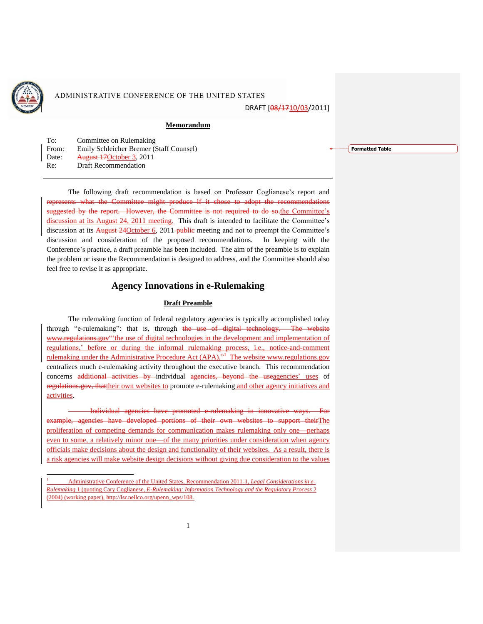

 $\overline{a}$ 

# ADMINISTRATIVE CONFERENCE OF THE UNITED STATES

DRAFT [08/1710/03/2011]

### **Memorandum**

| To:   | Committee on Rulemaking                 |
|-------|-----------------------------------------|
| From: | Emily Schleicher Bremer (Staff Counsel) |
| Date: | August 17 October 3, 2011               |
| Re:   | <b>Draft Recommendation</b>             |

The following draft recommendation is based on Professor Coglianese"s report and represents what the Committee might produce if it chose to adopt the recommendations suggested by the report. However, the Committee is not required to do so the Committee's discussion at its August 24, 2011 meeting. This draft is intended to facilitate the Committee's discussion at its August 24October 6, 2011 public meeting and not to preempt the Committee's discussion and consideration of the proposed recommendations. In keeping with the Conference"s practice, a draft preamble has been included. The aim of the preamble is to explain the problem or issue the Recommendation is designed to address, and the Committee should also feel free to revise it as appropriate.

# **Agency Innovations in e-Rulemaking**

#### **Draft Preamble**

The rulemaking function of federal regulatory agencies is typically accomplished today through "e-rulemaking": that is, through the use of digital technology. The website www.regulations.gov" the use of digital technologies in the development and implementation of regulations," before or during the informal rulemaking process, i.e., notice-and-comment rulemaking under the Administrative Procedure Act (APA).<sup>"1</sup> The website www.regulations.gov centralizes much e-rulemaking activity throughout the executive branch. This recommendation concerns additional activities by individual agencies, beyond the useagencies' uses of regulations.gov, thattheir own websites to promote e-rulemaking and other agency initiatives and activities.

Individual agencies have promoted e-rulemaking in innovative ways. For example, agencies have developed portions of their own websites to support theirThe proliferation of competing demands for communication makes rulemaking only one—perhaps even to some, a relatively minor one—of the many priorities under consideration when agency officials make decisions about the design and functionality of their websites. As a result, there is a risk agencies will make website design decisions without giving due consideration to the values **Formatted Table**

<sup>1</sup> Administrative Conference of the United States, Recommendation 2011-1, *Legal Considerations in e-Rulemaking* 1 (quoting Cary Coglianese, *E-Rulemaking: Information Technology and the Regulatory Process* 2 (2004) (working paper), http://lsr.nellco.org/upenn\_wps/108.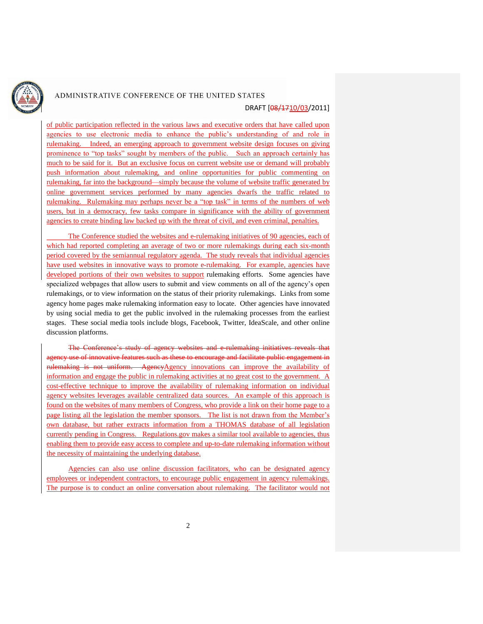

## ADMINISTRATIVE CONFERENCE OF THE UNITED STATES

### DRAFT [08/1710/03/2011]

of public participation reflected in the various laws and executive orders that have called upon agencies to use electronic media to enhance the public's understanding of and role in rulemaking. Indeed, an emerging approach to government website design focuses on giving prominence to "top tasks" sought by members of the public. Such an approach certainly has much to be said for it. But an exclusive focus on current website use or demand will probably push information about rulemaking, and online opportunities for public commenting on rulemaking, far into the background—simply because the volume of website traffic generated by online government services performed by many agencies dwarfs the traffic related to rulemaking. Rulemaking may perhaps never be a "top task" in terms of the numbers of web users, but in a democracy, few tasks compare in significance with the ability of government agencies to create binding law backed up with the threat of civil, and even criminal, penalties.

The Conference studied the websites and e-rulemaking initiatives of 90 agencies, each of which had reported completing an average of two or more rulemakings during each six-month period covered by the semiannual regulatory agenda. The study reveals that individual agencies have used websites in innovative ways to promote e-rulemaking. For example, agencies have developed portions of their own websites to support rulemaking efforts. Some agencies have specialized webpages that allow users to submit and view comments on all of the agency"s open rulemakings, or to view information on the status of their priority rulemakings. Links from some agency home pages make rulemaking information easy to locate. Other agencies have innovated by using social media to get the public involved in the rulemaking processes from the earliest stages. These social media tools include blogs, Facebook, Twitter, IdeaScale, and other online discussion platforms.

websites and e-rulemaking agency use of innovative features such as these to encourage and facilitate public engagement in is not uniform. AgencyAgency innovations can improve the availability of information and engage the public in rulemaking activities at no great cost to the government. A cost-effective technique to improve the availability of rulemaking information on individual agency websites leverages available centralized data sources. An example of this approach is found on the websites of many members of Congress, who provide a link on their home page to a page listing all the legislation the member sponsors. The list is not drawn from the Member"s own database, but rather extracts information from a THOMAS database of all legislation currently pending in Congress. Regulations.gov makes a similar tool available to agencies, thus enabling them to provide easy access to complete and up-to-date rulemaking information without the necessity of maintaining the underlying database.

Agencies can also use online discussion facilitators, who can be designated agency employees or independent contractors, to encourage public engagement in agency rulemakings. The purpose is to conduct an online conversation about rulemaking. The facilitator would not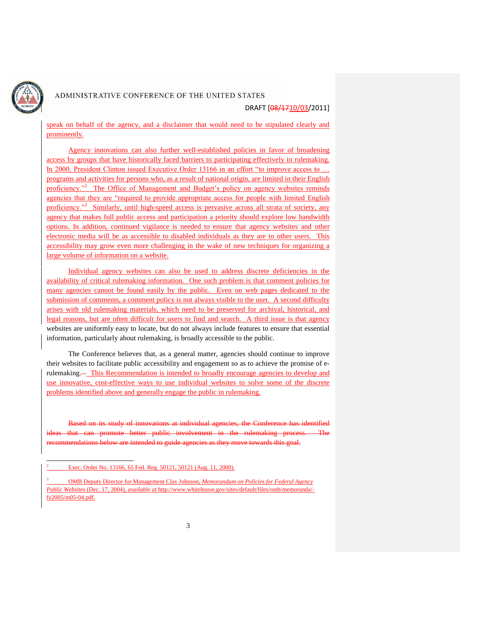

 $\overline{a}$ 

# ADMINISTRATIVE CONFERENCE OF THE UNITED STATES

DRAFT [08/1710/03/2011]

speak on behalf of the agency, and a disclaimer that would need to be stipulated clearly and prominently.

Agency innovations can also further well-established policies in favor of broadening access by groups that have historically faced barriers to participating effectively in rulemaking. In 2000, President Clinton issued Executive Order 13166 in an effort "to improve access to ... programs and activities for persons who, as a result of national origin, are limited in their English proficiency.<sup>2</sup> The Office of Management and Budget's policy on agency websites reminds agencies that they are "required to provide appropriate access for people with limited English proficiency.<sup>3</sup> Similarly, until high-speed access is pervasive across all strata of society, any agency that makes full public access and participation a priority should explore low bandwidth options. In addition, continued vigilance is needed to ensure that agency websites and other electronic media will be as accessible to disabled individuals as they are to other users. This accessibility may grow even more challenging in the wake of new techniques for organizing a large volume of information on a website.

Individual agency websites can also be used to address discrete deficiencies in the availability of critical rulemaking information. One such problem is that comment policies for many agencies cannot be found easily by the public. Even on web pages dedicated to the submission of comments, a comment policy is not always visible to the user. A second difficulty arises with old rulemaking materials, which need to be preserved for archival, historical, and legal reasons, but are often difficult for users to find and search. A third issue is that agency websites are uniformly easy to locate, but do not always include features to ensure that essential information, particularly about rulemaking, is broadly accessible to the public.

The Conference believes that, as a general matter, agencies should continue to improve their websites to facilitate public accessibility and engagement so as to achieve the promise of erulemaking. This Recommendation is intended to broadly encourage agencies to develop and use innovative, cost-effective ways to use individual websites to solve some of the discrete problems identified above and generally engage the public in rulemaking.

Based on its study of innovations at individual agencies, the Conference has identified can promote better public involvement in the rulemaking process. recommendations below are intended to guide agencies as they move towards this goal.

Exec. Order No. 13166, 65 Fed. Reg. 50121, 50121 (Aug. 11, 2000).

<sup>3</sup> OMB Deputy Director for Management Clay Johnson, *Memorandum on Policies for Federal Agency Public Websites* (Dec. 17, 2004), *available at* http://www.whitehouse.gov/sites/default/files/omb/memoranda/ fy2005/m05-04.pdf.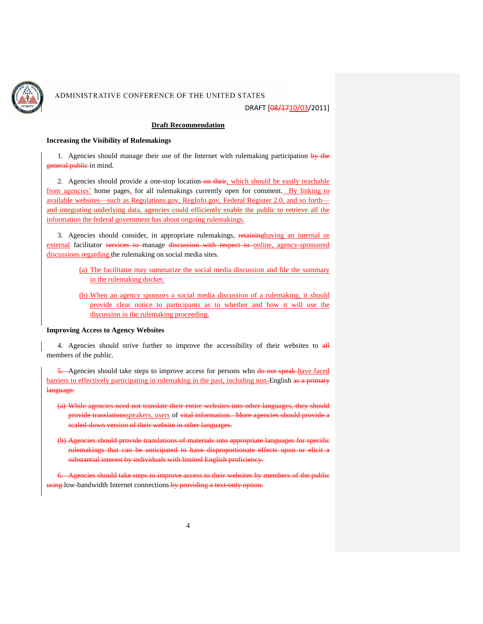

### ADMINISTRATIVE CONFERENCE OF THE UNITED STATES

DRAFT [08/1710/03/2011]

### **Draft Recommendation**

#### **Increasing the Visibility of Rulemakings**

1. Agencies should manage their use of the Internet with rulemaking participation by the general public-in mind.

2. Agencies should provide a one-stop location on their, which should be easily reachable from agencies' home pages, for all rulemakings currently open for comment. By linking to available websites—such as Regulations.gov, RegInfo.gov, Federal Register 2.0, and so forth and integrating underlying data, agencies could efficiently enable the public to retrieve all the information the federal government has about ongoing rulemakings.

3. Agencies should consider, in appropriate rulemakings, retaininghaving an internal or external facilitator services to manage discussion with respect to online, agency-sponsored discussions regarding the rulemaking on social media sites.

- (a) The facilitator may summarize the social media discussion and file the summary in the rulemaking docket.
- (b) When an agency sponsors a social media discussion of a rulemaking, it should provide clear notice to participants as to whether and how it will use the discussion in the rulemaking proceeding.

#### **Improving Access to Agency Websites**

4. Agencies should strive further to improve the accessibility of their websites to  $\frac{dH}{dt}$ members of the public.

5. Agencies should take steps to improve access for persons who do not speak have faced barriers to effectively participating in rulemaking in the past, including non-English as a primary language.

- (a) While agencies need not translate their entire websites into other languages, they should provide translationsspeakers, users of vital information. More agencies should provide a scaled-down version of their website in other languages.
- (b) Agencies should provide translations of materials into appropriate languages for specific rulemakings that can be anticipated to have disproportionate effects upon or substantial interest by individuals with limited English proficiency.

6. Agencies should take steps to improve access to their websites by members of the public using low-bandwidth Internet connections by providing a text-only option.